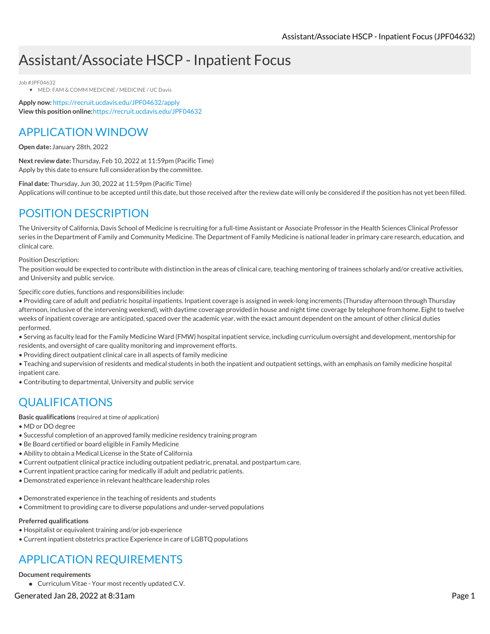# Assistant/Associate HSCP - Inpatient Focus

Job #JPF04632

MED: FAM & COMM MEDICINE / MEDICINE / UC Davis

**Apply now:** <https://recruit.ucdavis.edu/JPF04632/apply> **View this position online:**<https://recruit.ucdavis.edu/JPF04632>

### APPLICATION WINDOW

**Open date:** January 28th, 2022

**Next review date:** Thursday, Feb 10, 2022 at 11:59pm (Pacific Time) Apply by this date to ensure full consideration by the committee.

**Final date:** Thursday, Jun 30, 2022 at 11:59pm (Pacific Time) Applications will continue to be accepted until this date, but those received after the review date will only be considered if the position has not yet been filled.

### POSITION DESCRIPTION

The University of California, Davis School of Medicine is recruiting for a full-time Assistant or Associate Professor in the Health Sciences Clinical Professor series in the Department of Family and Community Medicine. The Department of Family Medicine is national leader in primary care research, education, and clinical care.

#### Position Description:

The position would be expected to contribute with distinction in the areas of clinical care, teaching mentoring of trainees scholarly and/or creative activities, and University and public service.

Specific core duties, functions and responsibilities include:

• Providing care of adult and pediatric hospital inpatients. Inpatient coverage is assigned in week-long increments (Thursday afternoon through Thursday afternoon, inclusive of the intervening weekend), with daytime coverage provided in house and night time coverage by telephone from home. Eight to twelve weeks of inpatient coverage are anticipated, spaced over the academic year, with the exact amount dependent on the amount of other clinical duties performed.

• Serving as faculty lead for the Family Medicine Ward (FMW) hospital inpatient service, including curriculum oversight and development, mentorship for residents, and oversight of care quality monitoring and improvement efforts.

• Providing direct outpatient clinical care in all aspects of family medicine

• Teaching and supervision of residents and medical students in both the inpatient and outpatient settings, with an emphasis on family medicine hospital inpatient care.

• Contributing to departmental, University and public service

## QUALIFICATIONS

**Basic qualifications** (required at time of application)

- MD or DO degree
- Successful completion of an approved family medicine residency training program
- Be Board certified or board eligible in Family Medicine
- Ability to obtain a Medical License in the State of California
- Current outpatient clinical practice including outpatient pediatric, prenatal, and postpartum care.
- Current inpatient practice caring for medically ill adult and pediatric patients.
- Demonstrated experience in relevant healthcare leadership roles
- Demonstrated experience in the teaching of residents and students
- Commitment to providing care to diverse populations and under-served populations

### **Preferred qualifications**

- Hospitalist or equivalent training and/or job experience
- Current inpatient obstetrics practice Experience in care of LGBTQ populations

# APPLICATION REQUIREMENTS

### **Document requirements**

Curriculum Vitae - Your most recently updated C.V.

Generated Jan 28, 2022 at 8:31am Page 1